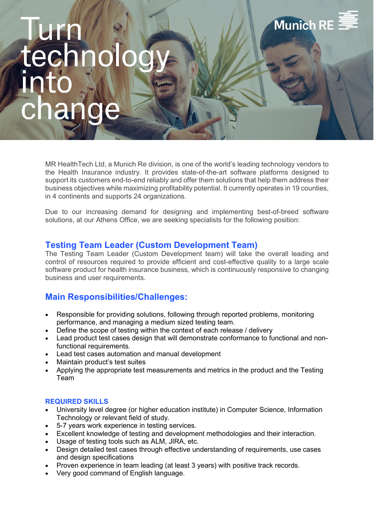# **Munich RI**

MR HealthTech Ltd, a Munich Re division, is one of the world's leading technology vendors to the Health Insurance industry. It provides state-of-the-art software platforms designed to support its customers end-to-end reliably and offer them solutions that help them address their business objectives while maximizing profitability potential. It currently operates in 19 counties, in 4 continents and supports 24 organizations.

Due to our increasing demand for designing and implementing best-of-breed software solutions, at our Athens Office, we are seeking specialists for the following position:

## **Testing Team Leader (Custom Development Team)**

The Testing Team Leader (Custom Development team) will take the overall leading and control of resources required to provide efficient and cost-effective quality to a large scale software product for health insurance business, which is continuously responsive to changing business and user requirements.

# **Main Responsibilities/Challenges:**

- Responsible for providing solutions, following through reported problems, monitoring performance, and managing a medium sized testing team.
- Define the scope of testing within the context of each release / delivery
- Lead product test cases design that will demonstrate conformance to functional and nonfunctional requirements.
- Lead test cases automation and manual development
- Maintain product's test suites
- Applying the appropriate test measurements and metrics in the product and the Testing Team

### **REQUIRED SKILLS**

- University level degree (or higher education institute) in Computer Science, Information Technology or relevant field of study.
- 5-7 years work experience in testing services.
- Excellent knowledge of testing and development methodologies and their interaction.
- Usage of testing tools such as ALM, JIRA, etc.
- Design detailed test cases through effective understanding of requirements, use cases and design specifications
- Proven experience in team leading (at least 3 years) with positive track records.
- Very good command of English language.